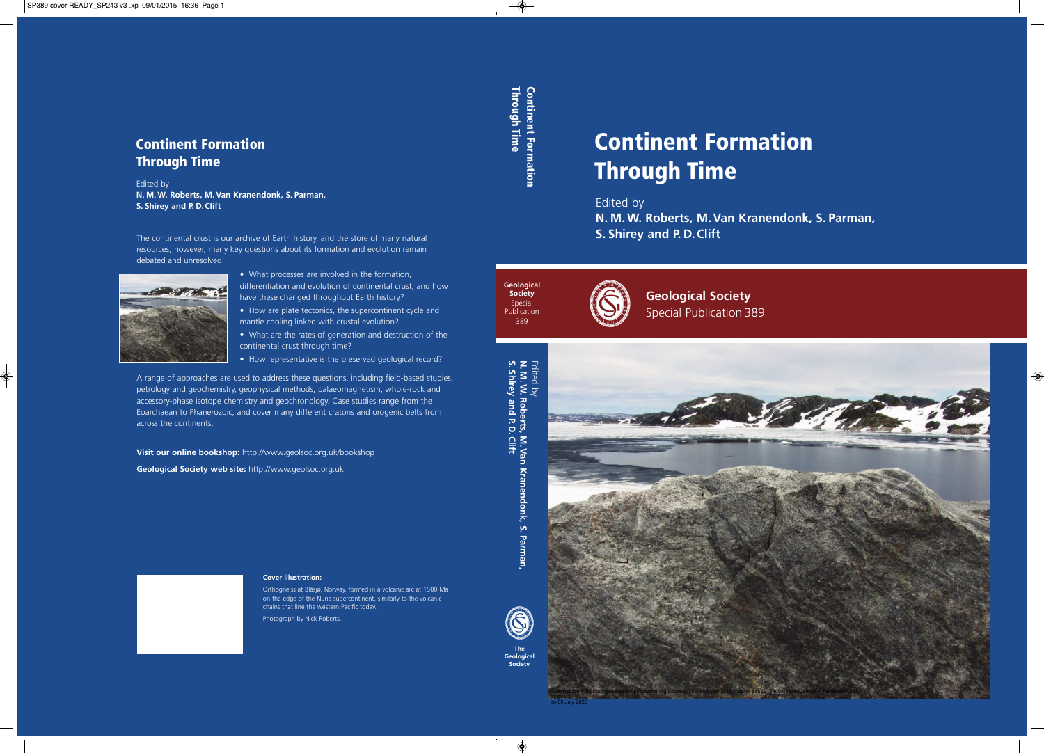# **Continent Formation Through Time**

Edited by **N. M.W. Roberts, M.Van Kranendonk, S. Parman, S. Shirey** and **P. D. Clift** 



**Geological Society** Special Publication 389

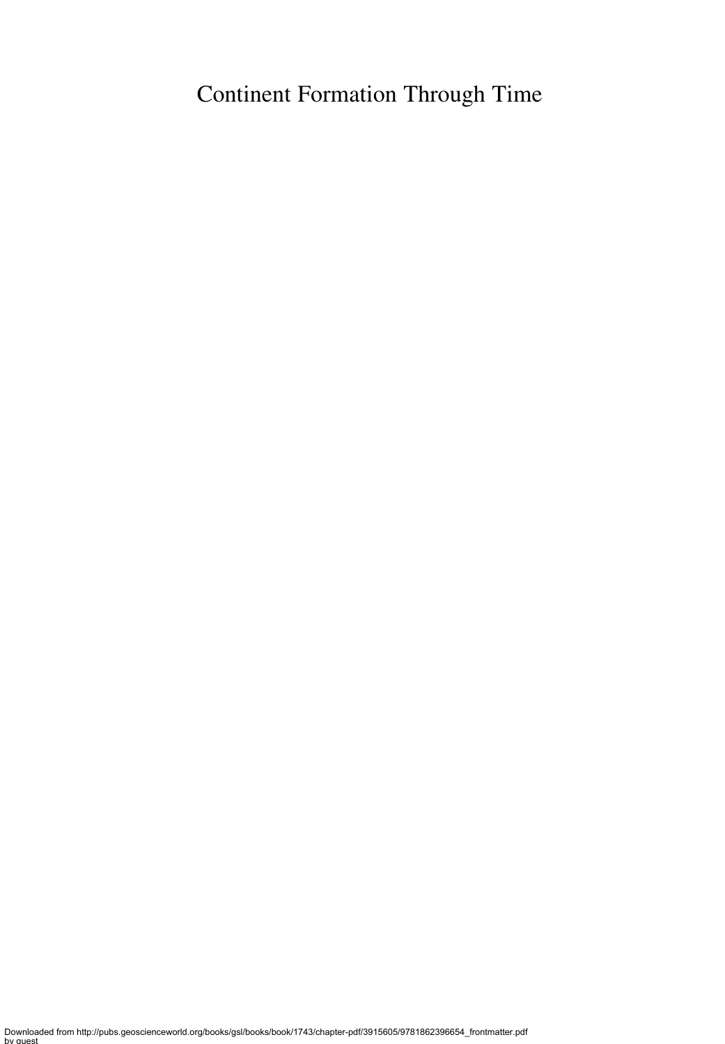# Continent Formation Through Time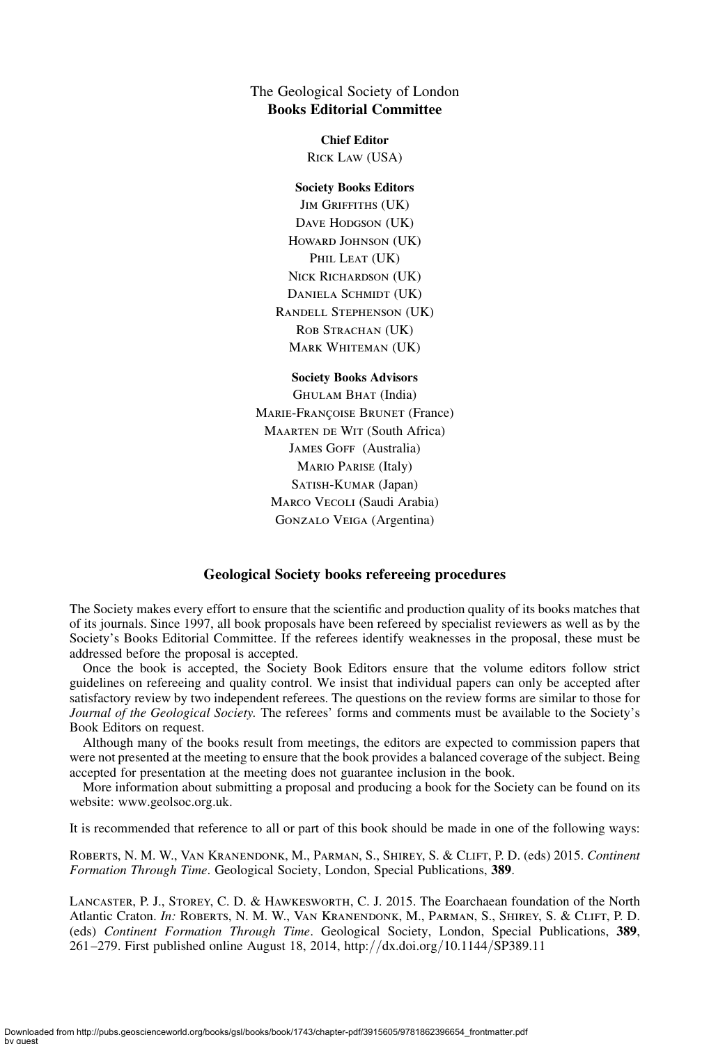# The Geological Society of London Books Editorial Committee

Chief Editor Rick Law (USA)

## Society Books Editors

Jim Griffiths (UK) DAVE HODGSON (UK) Howard Johnson (UK) PHIL LEAT (UK) Nick Richardson (UK) Daniela Schmidt (UK) Randell Stephenson (UK) ROB STRACHAN (UK) Mark Whiteman (UK)

### Society Books Advisors

Ghulam Bhat (India) MARIE-FRANCOISE BRUNET (France) MAARTEN DE WIT (South Africa) JAMES GOFF (Australia) Mario Parise (Italy) Satish-Kumar (Japan) Marco Vecoli (Saudi Arabia) Gonzalo Veiga (Argentina)

## Geological Society books refereeing procedures

The Society makes every effort to ensure that the scientific and production quality of its books matches that of its journals. Since 1997, all book proposals have been refereed by specialist reviewers as well as by the Society's Books Editorial Committee. If the referees identify weaknesses in the proposal, these must be addressed before the proposal is accepted.

Once the book is accepted, the Society Book Editors ensure that the volume editors follow strict guidelines on refereeing and quality control. We insist that individual papers can only be accepted after satisfactory review by two independent referees. The questions on the review forms are similar to those for Journal of the Geological Society. The referees' forms and comments must be available to the Society's Book Editors on request.

Although many of the books result from meetings, the editors are expected to commission papers that were not presented at the meeting to ensure that the book provides a balanced coverage of the subject. Being accepted for presentation at the meeting does not guarantee inclusion in the book.

More information about submitting a proposal and producing a book for the Society can be found on its website: www.geolsoc.org.uk.

It is recommended that reference to all or part of this book should be made in one of the following ways:

Roberts, N. M. W., Van Kranendonk, M., Parman, S., Shirey, S. & Clift, P. D. (eds) 2015. Continent Formation Through Time. Geological Society, London, Special Publications, 389.

Lancaster, P. J., Storey, C. D. & Hawkesworth, C. J. 2015. The Eoarchaean foundation of the North Atlantic Craton. In: Roberts, N. M. W., Van Kranendonk, M., Parman, S., Shirey, S. & Clift, P. D. (eds) Continent Formation Through Time. Geological Society, London, Special Publications, 389, 261–279. First published online August 18, 2014, http://dx.doi.org/10.1144/SP389.11

Downloaded from http://pubs.geoscienceworld.org/books/gsl/books/book/1743/chapter-pdf/3915605/9781862396654\_frontmatter.pdf by guest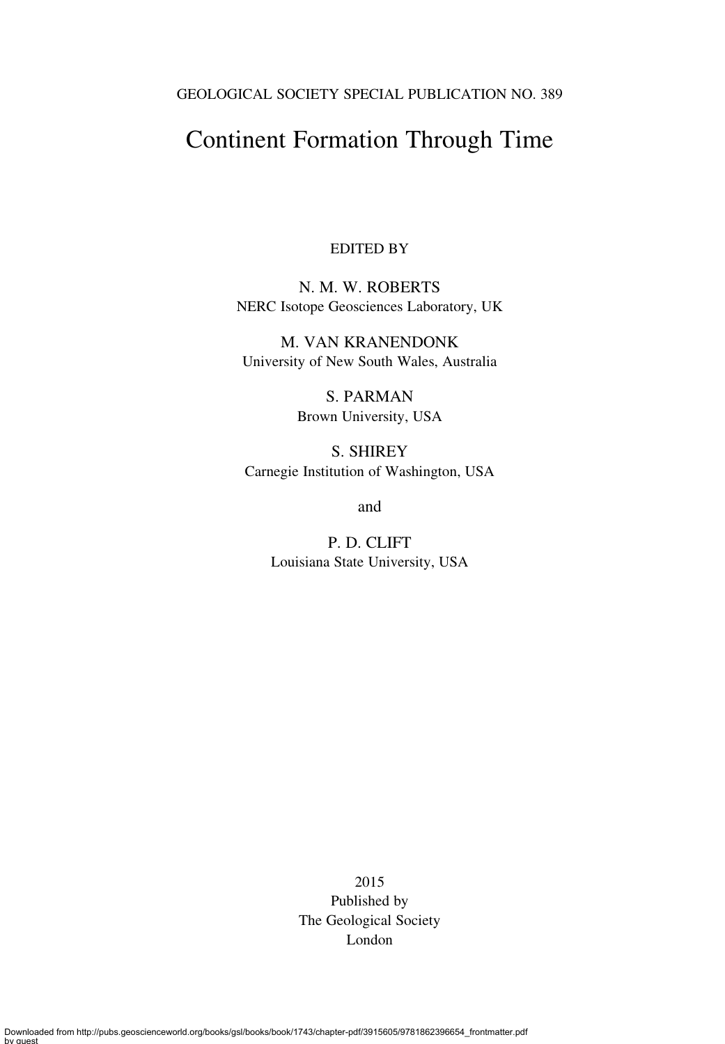# GEOLOGICAL SOCIETY SPECIAL PUBLICATION NO. 389

# Continent Formation Through Time

EDITED BY

N. M. W. ROBERTS NERC Isotope Geosciences Laboratory, UK

M. VAN KRANENDONK University of New South Wales, Australia

> S. PARMAN Brown University, USA

S. SHIREY Carnegie Institution of Washington, USA

and

P. D. CLIFT Louisiana State University, USA

> 2015 Published by The Geological Society London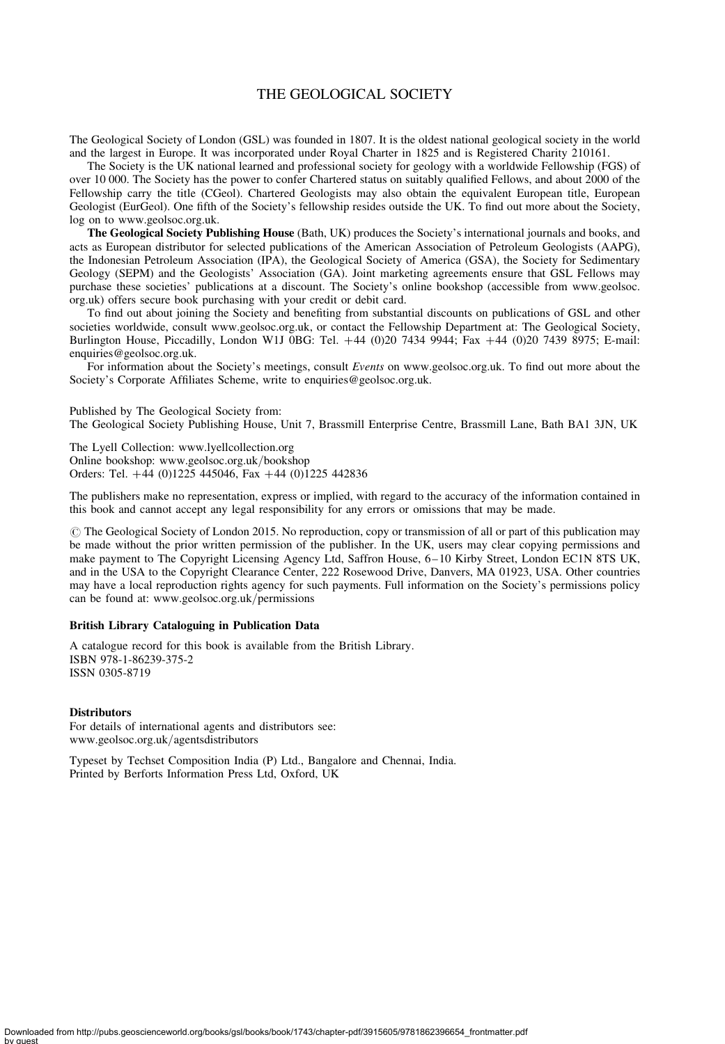## THE GEOLOGICAL SOCIETY

The Geological Society of London (GSL) was founded in 1807. It is the oldest national geological society in the world and the largest in Europe. It was incorporated under Royal Charter in 1825 and is Registered Charity 210161.

The Society is the UK national learned and professional society for geology with a worldwide Fellowship (FGS) of over 10 000. The Society has the power to confer Chartered status on suitably qualified Fellows, and about 2000 of the Fellowship carry the title (CGeol). Chartered Geologists may also obtain the equivalent European title, European Geologist (EurGeol). One fifth of the Society's fellowship resides outside the UK. To find out more about the Society, log on to www.geolsoc.org.uk.

The Geological Society Publishing House (Bath, UK) produces the Society's international journals and books, and acts as European distributor for selected publications of the American Association of Petroleum Geologists (AAPG), the Indonesian Petroleum Association (IPA), the Geological Society of America (GSA), the Society for Sedimentary Geology (SEPM) and the Geologists' Association (GA). Joint marketing agreements ensure that GSL Fellows may purchase these societies' publications at a discount. The Society's online bookshop (accessible from www.geolsoc. org.uk) offers secure book purchasing with your credit or debit card.

To find out about joining the Society and benefiting from substantial discounts on publications of GSL and other societies worldwide, consult www.geolsoc.org.uk, or contact the Fellowship Department at: The Geological Society, Burlington House, Piccadilly, London W1J 0BG: Tel. +44 (0)20 7434 9944; Fax +44 (0)20 7439 8975; E-mail: enquiries@geolsoc.org.uk.

For information about the Society's meetings, consult *Events* on www.geolsoc.org.uk. To find out more about the Society's Corporate Affiliates Scheme, write to enquiries@geolsoc.org.uk.

Published by The Geological Society from: The Geological Society Publishing House, Unit 7, Brassmill Enterprise Centre, Brassmill Lane, Bath BA1 3JN, UK

The Lyell Collection: www.lyellcollection.org Online bookshop: www.geolsoc.org.uk/bookshop Orders: Tel.  $\pm$ 44 (0)1225 445046, Fax  $\pm$ 44 (0)1225 442836

The publishers make no representation, express or implied, with regard to the accuracy of the information contained in this book and cannot accept any legal responsibility for any errors or omissions that may be made.

© The Geological Society of London 2015. No reproduction, copy or transmission of all or part of this publication may be made without the prior written permission of the publisher. In the UK, users may clear copying permissions and make payment to The Copyright Licensing Agency Ltd, Saffron House, 6– 10 Kirby Street, London EC1N 8TS UK, and in the USA to the Copyright Clearance Center, 222 Rosewood Drive, Danvers, MA 01923, USA. Other countries may have a local reproduction rights agency for such payments. Full information on the Society's permissions policy can be found at: www.geolsoc.org.uk/permissions

#### British Library Cataloguing in Publication Data

A catalogue record for this book is available from the British Library. ISBN 978-1-86239-375-2 ISSN 0305-8719

#### **Distributors**

For details of international agents and distributors see: www.geolsoc.org.uk/agentsdistributors

Typeset by Techset Composition India (P) Ltd., Bangalore and Chennai, India. Printed by Berforts Information Press Ltd, Oxford, UK